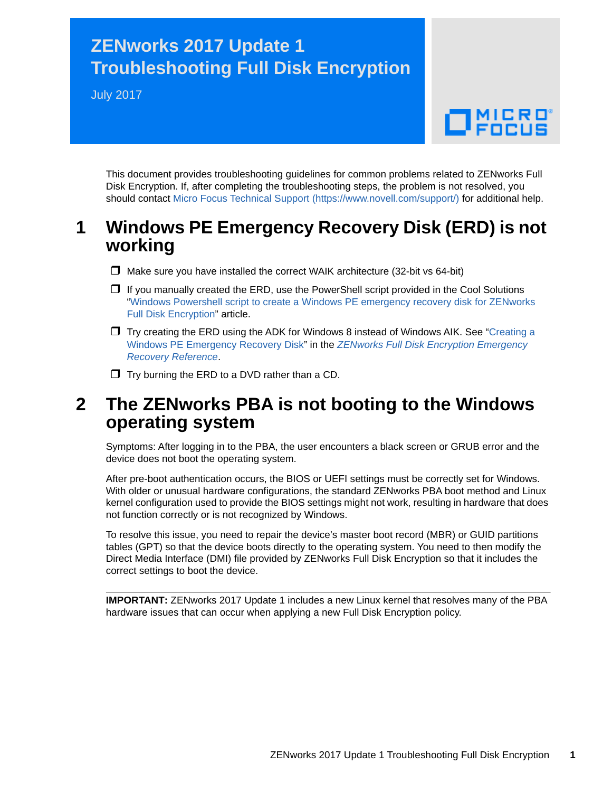# **ZENworks 2017 Update 1 Troubleshooting Full Disk Encryption**

July 2017

# $\Box$ MICRO

This document provides troubleshooting guidelines for common problems related to ZENworks Full Disk Encryption. If, after completing the troubleshooting steps, the problem is not resolved, you should contact [Micro Focus Technical Support](https://www.novell.com/support/) (https://www.novell.com/support/) for additional help.

#### **1 Windows PE Emergency Recovery Disk (ERD) is not working**

- $\Box$  Make sure you have installed the correct WAIK architecture (32-bit vs 64-bit)
- $\Box$  If you manually created the ERD, use the PowerShell script provided in the Cool Solutions ["Windows Powershell script to create a Windows PE emergency recovery disk for ZENworks](https://www.novell.com/communities/coolsolutions/cool_tools/windows-powershell-script-create-windows-pe-emergency-recovery-disk-zenworks-full-disk-en/)  [Full Disk Encryption](https://www.novell.com/communities/coolsolutions/cool_tools/windows-powershell-script-create-windows-pe-emergency-recovery-disk-zenworks-full-disk-en/)" article.
- $\Box$  Try creating the ERD using the ADK for Windows 8 instead of Windows AIK. See "Creating a Windows PE Emergency Recovery Disk" in the *[ZENworks Full Disk Encryption Emergency](https://www.novell.com/documentation/zenworks2017/pdfdoc/zen_fde_emergency_recovery/zen_fde_emergency_recovery.pdf#bookinfo)  Recovery Reference*.
- $\Box$  Try burning the ERD to a DVD rather than a CD.

#### **2 The ZENworks PBA is not booting to the Windows operating system**

Symptoms: After logging in to the PBA, the user encounters a black screen or GRUB error and the device does not boot the operating system.

After pre-boot authentication occurs, the BIOS or UEFI settings must be correctly set for Windows. With older or unusual hardware configurations, the standard ZENworks PBA boot method and Linux kernel configuration used to provide the BIOS settings might not work, resulting in hardware that does not function correctly or is not recognized by Windows.

To resolve this issue, you need to repair the device's master boot record (MBR) or GUID partitions tables (GPT) so that the device boots directly to the operating system. You need to then modify the Direct Media Interface (DMI) file provided by ZENworks Full Disk Encryption so that it includes the correct settings to boot the device.

**IMPORTANT:** ZENworks 2017 Update 1 includes a new Linux kernel that resolves many of the PBA hardware issues that can occur when applying a new Full Disk Encryption policy.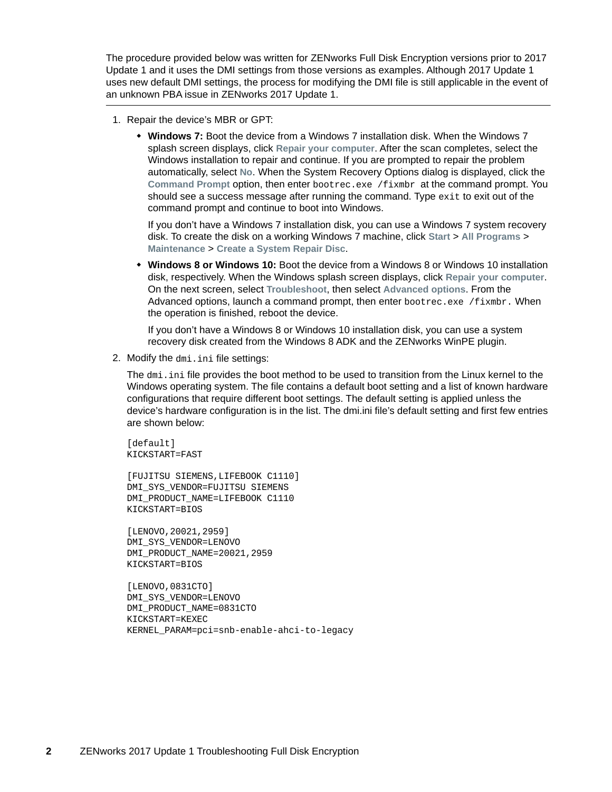The procedure provided below was written for ZENworks Full Disk Encryption versions prior to 2017 Update 1 and it uses the DMI settings from those versions as examples. Although 2017 Update 1 uses new default DMI settings, the process for modifying the DMI file is still applicable in the event of an unknown PBA issue in ZENworks 2017 Update 1.

- 1. Repair the device's MBR or GPT:
	- **Windows 7:** Boot the device from a Windows 7 installation disk. When the Windows 7 splash screen displays, click **Repair your computer**. After the scan completes, select the Windows installation to repair and continue. If you are prompted to repair the problem automatically, select **No**. When the System Recovery Options dialog is displayed, click the **Command Prompt** option, then enter bootrec.exe /fixmbr at the command prompt. You should see a success message after running the command. Type exit to exit out of the command prompt and continue to boot into Windows.

If you don't have a Windows 7 installation disk, you can use a Windows 7 system recovery disk. To create the disk on a working Windows 7 machine, click **Start** > **All Programs** > **Maintenance** > **Create a System Repair Disc**.

 **Windows 8 or Windows 10:** Boot the device from a Windows 8 or Windows 10 installation disk, respectively. When the Windows splash screen displays, click **Repair your computer**. On the next screen, select **Troubleshoot**, then select **Advanced options**. From the Advanced options, launch a command prompt, then enter bootrec.exe /fixmbr. When the operation is finished, reboot the device.

If you don't have a Windows 8 or Windows 10 installation disk, you can use a system recovery disk created from the Windows 8 ADK and the ZENworks WinPE plugin.

2. Modify the dmi.ini file settings:

The dmi.ini file provides the boot method to be used to transition from the Linux kernel to the Windows operating system. The file contains a default boot setting and a list of known hardware configurations that require different boot settings. The default setting is applied unless the device's hardware configuration is in the list. The dmi.ini file's default setting and first few entries are shown below:

[default] KICKSTART=FAST

[FUJITSU SIEMENS,LIFEBOOK C1110] DMI\_SYS\_VENDOR=FUJITSU SIEMENS DMI\_PRODUCT\_NAME=LIFEBOOK C1110 KICKSTART=BIOS

[LENOVO,20021,2959] DMI\_SYS\_VENDOR=LENOVO DMI\_PRODUCT\_NAME=20021,2959 KICKSTART=BIOS

[LENOVO,0831CTO] DMI\_SYS\_VENDOR=LENOVO DMI\_PRODUCT\_NAME=0831CTO KICKSTART=KEXEC KERNEL\_PARAM=pci=snb-enable-ahci-to-legacy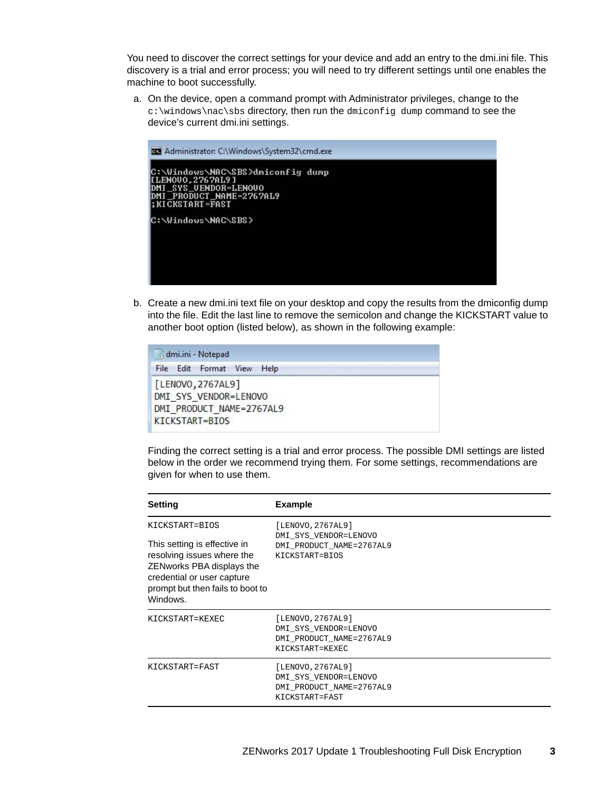You need to discover the correct settings for your device and add an entry to the dmi.ini file. This discovery is a trial and error process; you will need to try different settings until one enables the machine to boot successfully.

a. On the device, open a command prompt with Administrator privileges, change to the c:\windows\nac\sbs directory, then run the dmiconfig dump command to see the device's current dmi.ini settings.



b. Create a new dmi.ini text file on your desktop and copy the results from the dmiconfig dump into the file. Edit the last line to remove the semicolon and change the KICKSTART value to another boot option (listed below), as shown in the following example:

| <b>SOUTH</b><br>dmi.ini - Notepad                                                        |  |
|------------------------------------------------------------------------------------------|--|
| File Edit Format View Help                                                               |  |
| [LENOVO, 2767AL9]<br>DMI SYS VENDOR=LENOVO<br>DMI_PRODUCT_NAME=2767AL9<br>KICKSTART=BIOS |  |

Finding the correct setting is a trial and error process. The possible DMI settings are listed below in the order we recommend trying them. For some settings, recommendations are given for when to use them.

| Setting                                                                                                                                                                                 | <b>Example</b>                                                                            |
|-----------------------------------------------------------------------------------------------------------------------------------------------------------------------------------------|-------------------------------------------------------------------------------------------|
| KICKSTART=BIOS<br>This setting is effective in<br>resolving issues where the<br>ZENworks PBA displays the<br>credential or user capture<br>prompt but then fails to boot to<br>Windows. | [LENOVO, 2767AL9]<br>DMI SYS VENDOR=LENOVO<br>DMI PRODUCT NAME=2767AL9<br>KICKSTART=BIOS  |
| KICKSTART=KEXEC                                                                                                                                                                         | [LENOVO, 2767AL9]<br>DMI SYS VENDOR=LENOVO<br>DMI PRODUCT NAME=2767AL9<br>KICKSTART=KEXEC |
| KICKSTART=FAST                                                                                                                                                                          | [LENOVO, 2767AL9]<br>DMI SYS VENDOR=LENOVO<br>DMI PRODUCT NAME=2767AL9<br>KICKSTART=FAST  |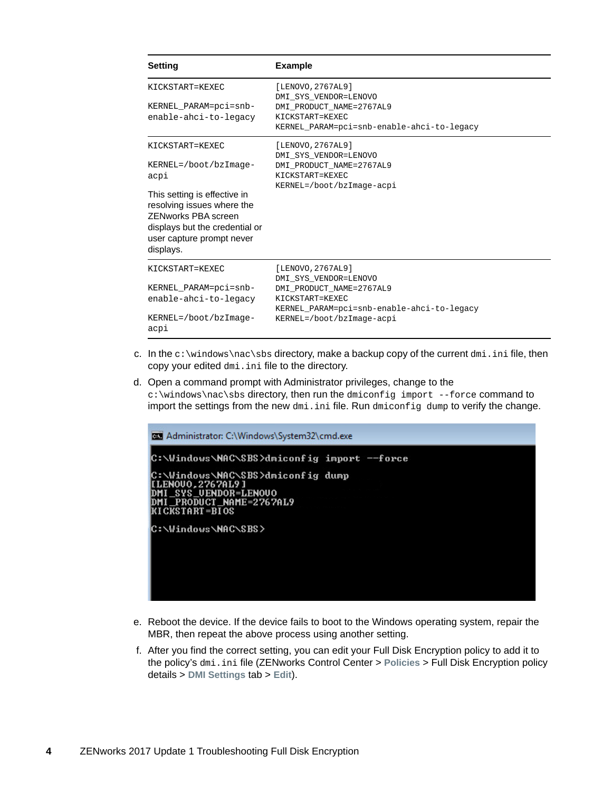| <b>Setting</b>                                                                                                                                                       | <b>Example</b>                                    |
|----------------------------------------------------------------------------------------------------------------------------------------------------------------------|---------------------------------------------------|
| KICKSTART=KEXEC                                                                                                                                                      | [LENOVO, 2767AL9]<br>DMI SYS VENDOR=LENOVO        |
| KERNEL_PARAM=pci=snb-                                                                                                                                                | DMI PRODUCT_NAME=2767AL9                          |
| enable-ahci-to-legacy                                                                                                                                                | KICKSTART=KEXEC                                   |
|                                                                                                                                                                      | KERNEL PARAM=pci=snb-enable-ahci-to-legacy        |
| KICKSTART=KEXEC                                                                                                                                                      | [LENOVO, 2767AL9]                                 |
| KERNEL=/boot/bzImage-                                                                                                                                                | DMI SYS VENDOR=LENOVO<br>DMI PRODUCT_NAME=2767AL9 |
| acpi                                                                                                                                                                 | KICKSTART=KEXEC                                   |
|                                                                                                                                                                      | KERNEL=/boot/bzImage-acpi                         |
| This setting is effective in<br>resolving issues where the<br><b>ZENworks PBA screen</b><br>displays but the credential or<br>user capture prompt never<br>displays. |                                                   |
| KICKSTART=KEXEC                                                                                                                                                      | [LENOVO, 2767AL9]                                 |
| KERNEL PARAM=pci=snb-                                                                                                                                                | DMI SYS VENDOR=LENOVO<br>DMI PRODUCT NAME=2767AL9 |
| enable-ahci-to-legacy                                                                                                                                                | KICKSTART=KEXEC                                   |
|                                                                                                                                                                      | KERNEL PARAM=pci=snb-enable-ahci-to-legacy        |
| KERNEL=/boot/bzImage-<br>acpi                                                                                                                                        | KERNEL=/boot/bzImage-acpi                         |

- c. In the c:\windows\nac\sbs directory, make a backup copy of the current dmi.ini file, then copy your edited dmi.ini file to the directory.
- d. Open a command prompt with Administrator privileges, change to the c:\windows\nac\sbs directory, then run the dmiconfig import --force command to import the settings from the new dmi.ini file. Run dmiconfig dump to verify the change.



- e. Reboot the device. If the device fails to boot to the Windows operating system, repair the MBR, then repeat the above process using another setting.
- f. After you find the correct setting, you can edit your Full Disk Encryption policy to add it to the policy's dmi.ini file (ZENworks Control Center > **Policies** > Full Disk Encryption policy details > **DMI Settings** tab > **Edit**).